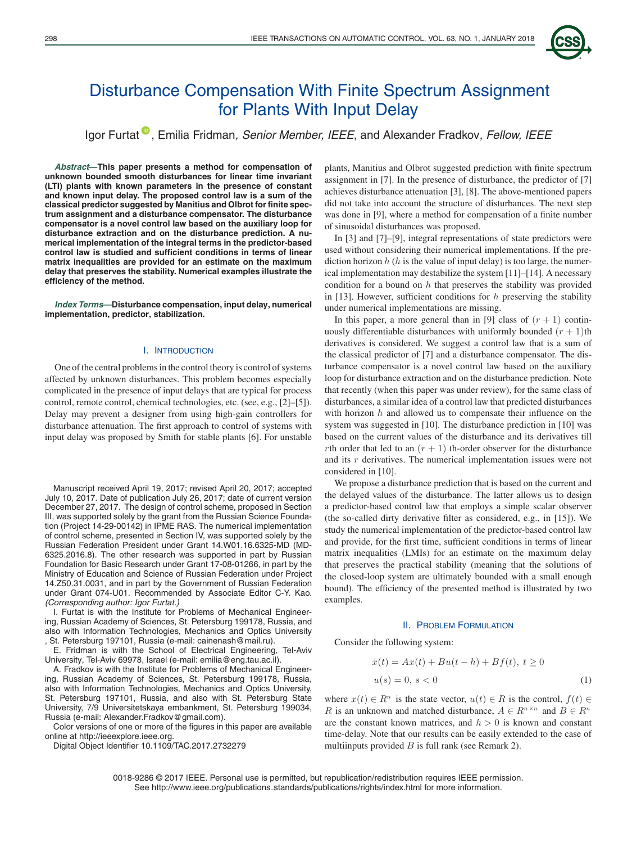

# Disturbance Compensation With Finite Spectrum Assignment for Plants With Input Delay

Igor Furtat [,](https://orcid.org/0000-0003-4679-5884) Emilia Fridman*, Senior Member, IEEE*, and Alexander Fradkov*, Fellow, IEEE*

*Abstract***—This paper presents a method for compensation of unknown bounded smooth disturbances for linear time invariant (LTI) plants with known parameters in the presence of constant and known input delay. The proposed control law is a sum of the classical predictor suggested by Manitius and Olbrot for finite spectrum assignment and a disturbance compensator. The disturbance compensator is a novel control law based on the auxiliary loop for disturbance extraction and on the disturbance prediction. A numerical implementation of the integral terms in the predictor-based control law is studied and sufficient conditions in terms of linear matrix inequalities are provided for an estimate on the maximum delay that preserves the stability. Numerical examples illustrate the efficiency of the method.**

*Index Terms***—Disturbance compensation, input delay, numerical implementation, predictor, stabilization.**

## I. INTRODUCTION

One of the central problems in the control theory is control of systems affected by unknown disturbances. This problem becomes especially complicated in the presence of input delays that are typical for process control, remote control, chemical technologies, etc. (see, e.g., [2]–[5]). Delay may prevent a designer from using high-gain controllers for disturbance attenuation. The first approach to control of systems with input delay was proposed by Smith for stable plants [6]. For unstable

Manuscript received April 19, 2017; revised April 20, 2017; accepted July 10, 2017. Date of publication July 26, 2017; date of current version December 27, 2017. The design of control scheme, proposed in Section III, was supported solely by the grant from the Russian Science Foundation (Project 14-29-00142) in IPME RAS. The numerical implementation of control scheme, presented in Section IV, was supported solely by the Russian Federation President under Grant 14.W01.16.6325-MD (MD-6325.2016.8). The other research was supported in part by Russian Foundation for Basic Research under Grant 17-08-01266, in part by the Ministry of Education and Science of Russian Federation under Project 14.Z50.31.0031, and in part by the Government of Russian Federation under Grant 074-U01. Recommended by Associate Editor C-Y. Kao. *(Corresponding author: Igor Furtat.)*

I. Furtat is with the Institute for Problems of Mechanical Engineering, Russian Academy of Sciences, St. Petersburg 199178, Russia, and also with Information Technologies, Mechanics and Optics University , St. Petersburg 197101, Russia (e-mail: cainenash@mail.ru).

E. Fridman is with the School of Electrical Engineering, Tel-Aviv University, Tel-Aviv 69978, Israel (e-mail: emilia@eng.tau.ac.il).

A. Fradkov is with the Institute for Problems of Mechanical Engineering, Russian Academy of Sciences, St. Petersburg 199178, Russia, also with Information Technologies, Mechanics and Optics University, St. Petersburg 197101, Russia, and also with St. Petersburg State University, 7/9 Universitetskaya embankment, St. Petersburg 199034, Russia (e-mail: Alexander.Fradkov@gmail.com).

Color versions of one or more of the figures in this paper are available online at http://ieeexplore.ieee.org.

Digital Object Identifier 10.1109/TAC.2017.2732279

plants, Manitius and Olbrot suggested prediction with finite spectrum assignment in [7]. In the presence of disturbance, the predictor of [7] achieves disturbance attenuation [3], [8]. The above-mentioned papers did not take into account the structure of disturbances. The next step was done in [9], where a method for compensation of a finite number of sinusoidal disturbances was proposed.

In [3] and [7]–[9], integral representations of state predictors were used without considering their numerical implementations. If the prediction horizon  $h(h)$  is the value of input delay) is too large, the numerical implementation may destabilize the system [11]–[14]. A necessary condition for a bound on  $h$  that preserves the stability was provided in [13]. However, sufficient conditions for  $h$  preserving the stability under numerical implementations are missing.

In this paper, a more general than in [9] class of  $(r + 1)$  continuously differentiable disturbances with uniformly bounded  $(r + 1)$ th derivatives is considered. We suggest a control law that is a sum of the classical predictor of [7] and a disturbance compensator. The disturbance compensator is a novel control law based on the auxiliary loop for disturbance extraction and on the disturbance prediction. Note that recently (when this paper was under review), for the same class of disturbances, a similar idea of a control law that predicted disturbances with horizon  $h$  and allowed us to compensate their influence on the system was suggested in [10]. The disturbance prediction in [10] was based on the current values of the disturbance and its derivatives till rth order that led to an  $(r + 1)$  th-order observer for the disturbance and its r derivatives. The numerical implementation issues were not considered in [10].

We propose a disturbance prediction that is based on the current and the delayed values of the disturbance. The latter allows us to design a predictor-based control law that employs a simple scalar observer (the so-called dirty derivative filter as considered, e.g., in [15]). We study the numerical implementation of the predictor-based control law and provide, for the first time, sufficient conditions in terms of linear matrix inequalities (LMIs) for an estimate on the maximum delay that preserves the practical stability (meaning that the solutions of the closed-loop system are ultimately bounded with a small enough bound). The efficiency of the presented method is illustrated by two examples.

#### II. PROBLEM FORMULATION

Consider the following system:

$$
\begin{aligned} \dot{x}(t) &= Ax(t) + Bu(t-h) + Bf(t), \ t \ge 0 \\ u(s) &= 0, \ s < 0 \end{aligned} \tag{1}
$$

where  $x(t) \in R^n$  is the state vector,  $u(t) \in R$  is the control,  $f(t) \in R$ R is an unknown and matched disturbance,  $A \in \mathbb{R}^{n \times n}$  and  $B \in \mathbb{R}^n$ are the constant known matrices, and  $h > 0$  is known and constant time-delay. Note that our results can be easily extended to the case of multiinputs provided  $B$  is full rank (see Remark 2).

0018-9286 © 2017 IEEE. Personal use is permitted, but republication/redistribution requires IEEE permission. See http://www.ieee.org/publications standards/publications/rights/index.html for more information.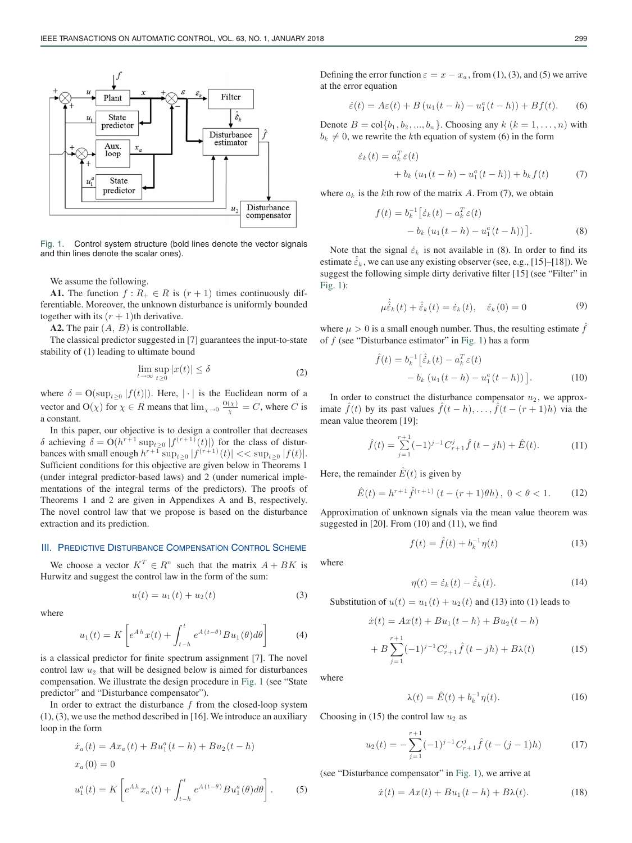

Fig. 1. Control system structure (bold lines denote the vector signals and thin lines denote the scalar ones).

We assume the following.

**A1.** The function  $f: R_+ \in R$  is  $(r + 1)$  times continuously differentiable. Moreover, the unknown disturbance is uniformly bounded together with its  $(r + 1)$ th derivative.

**A2.** The pair  $(A, B)$  is controllable.

The classical predictor suggested in [7] guarantees the input-to-state stability of (1) leading to ultimate bound

$$
\lim_{t \to \infty} \sup_{t \ge 0} |x(t)| \le \delta \tag{2}
$$

where  $\delta = O(\sup_{t\geq 0} |f(t)|)$ . Here,  $|\cdot|$  is the Euclidean norm of a vector and O( $\chi$ ) for  $\chi \in R$  means that  $\lim_{\chi \to 0} \frac{O(\chi)}{\chi} = C$ , where C is a constant.

In this paper, our objective is to design a controller that decreases δ achieving  $\delta = O(h^{r+1} \sup_{t>0} |f^{(r+1)}(t)|)$  for the class of disturbances with small enough  $h^{r+1} \sup_{t>0} |f^{(r+1)}(t)| \ll \sup_{t>0} |f(t)|$ . Sufficient conditions for this objective are given below in Theorems 1 (under integral predictor-based laws) and 2 (under numerical implementations of the integral terms of the predictors). The proofs of Theorems 1 and 2 are given in Appendixes A and B, respectively. The novel control law that we propose is based on the disturbance extraction and its prediction.

#### III. PREDICTIVE DISTURBANCE COMPENSATION CONTROL SCHEME

We choose a vector  $K^T \in \mathbb{R}^n$  such that the matrix  $A + BK$  is Hurwitz and suggest the control law in the form of the sum:

$$
u(t) = u_1(t) + u_2(t)
$$
 (3)

where

$$
u_1(t) = K \left[ e^{Ah} x(t) + \int_{t-h}^t e^{A(t-\theta)} B u_1(\theta) d\theta \right]
$$
 (4)

is a classical predictor for finite spectrum assignment [7]. The novel control law  $u_2$  that will be designed below is aimed for disturbances compensation. We illustrate the design procedure in Fig. 1 (see "State predictor" and "Disturbance compensator").

In order to extract the disturbance  $f$  from the closed-loop system (1), (3), we use the method described in [16]. We introduce an auxiliary loop in the form

$$
\dot{x}_a(t) = Ax_a(t) + Bu_1^a(t-h) + Bu_2(t-h)
$$
  
\n
$$
x_a(0) = 0
$$
  
\n
$$
u_1^a(t) = K \left[ e^{Ah} x_a(t) + \int_{t-h}^t e^{A(t-\theta)} B u_1^a(\theta) d\theta \right].
$$
 (5)

Defining the error function  $\varepsilon = x - x_a$ , from (1), (3), and (5) we arrive at the error equation

$$
\dot{\varepsilon}(t) = A\varepsilon(t) + B(u_1(t - h) - u_1^a(t - h)) + Bf(t).
$$
 (6)

Denote  $B = \text{col}\{b_1, b_2, ..., b_n\}$ . Choosing any  $k \ (k = 1, ..., n)$  with  $b_k \neq 0$ , we rewrite the kth equation of system (6) in the form

$$
\dot{\varepsilon}_k(t) = a_k^T \varepsilon(t)
$$
  
+  $b_k (u_1(t-h) - u_1^a(t-h)) + b_k f(t)$  (7)

where  $a_k$  is the kth row of the matrix A. From (7), we obtain

$$
f(t) = b_k^{-1} [\dot{\varepsilon}_k(t) - a_k^T \varepsilon(t) - b_k (u_1(t - h) - u_1^a(t - h))].
$$
 (8)

Note that the signal  $\dot{\varepsilon}_k$  is not available in (8). In order to find its estimate  $\hat{\dot{\varepsilon}}_k$ , we can use any existing observer (see, e.g., [15]–[18]). We suggest the following simple dirty derivative filter [15] (see "Filter" in Fig. 1):

$$
\mu \dot{\hat{\dot{\varepsilon}}}_k(t) + \hat{\dot{\varepsilon}}_k(t) = \dot{\varepsilon}_k(t), \quad \hat{\varepsilon}_k(0) = 0 \tag{9}
$$

where  $\mu > 0$  is a small enough number. Thus, the resulting estimate f of  $f$  (see "Disturbance estimator" in Fig. 1) has a form

$$
\hat{f}(t) = b_k^{-1} \left[ \hat{\varepsilon}_k(t) - a_k^T \, \varepsilon(t) - b_k \, (u_1(t-h) - u_1^a(t-h)) \right]. \tag{10}
$$

In order to construct the disturbance compensator  $u_2$ , we approximate  $\ddot{f}(t)$  by its past values  $\ddot{f}(t-h), \ldots, \ddot{f}(t-(r+1)h)$  via the mean value theorem [19]:

$$
\hat{f}(t) = \sum_{j=1}^{r+1} (-1)^{j-1} C_{r+1}^j \hat{f}(t - jh) + \hat{E}(t).
$$
 (11)

Here, the remainder  $\hat{E}(t)$  is given by

$$
\hat{E}(t) = h^{r+1} \hat{f}^{(r+1)} \left( t - (r+1)\theta h \right), \ 0 < \theta < 1. \tag{12}
$$

Approximation of unknown signals via the mean value theorem was suggested in [20]. From (10) and (11), we find

$$
f(t) = \hat{f}(t) + b_k^{-1} \eta(t)
$$
 (13)

where

$$
\eta(t) = \dot{\varepsilon}_k(t) - \hat{\dot{\varepsilon}}_k(t). \tag{14}
$$

Substitution of  $u(t) = u_1(t) + u_2(t)$  and (13) into (1) leads to

$$
\begin{aligned} \dot{x}(t) &= Ax(t) + Bu_1(t-h) + Bu_2(t-h) \\ &+ B \sum_{j=1}^{r+1} (-1)^{j-1} C_{r+1}^j \hat{f}(t-jh) + B\lambda(t) \end{aligned} \tag{15}
$$

where

$$
\lambda(t) = \hat{E}(t) + b_k^{-1} \eta(t).
$$
 (16)

Choosing in (15) the control law  $u_2$  as

$$
u_2(t) = -\sum_{j=1}^{r+1} (-1)^{j-1} C_{r+1}^j \hat{f}(t - (j-1)h)
$$
 (17)

(see "Disturbance compensator" in Fig. 1), we arrive at

$$
\dot{x}(t) = Ax(t) + Bu_1(t - h) + B\lambda(t).
$$
 (18)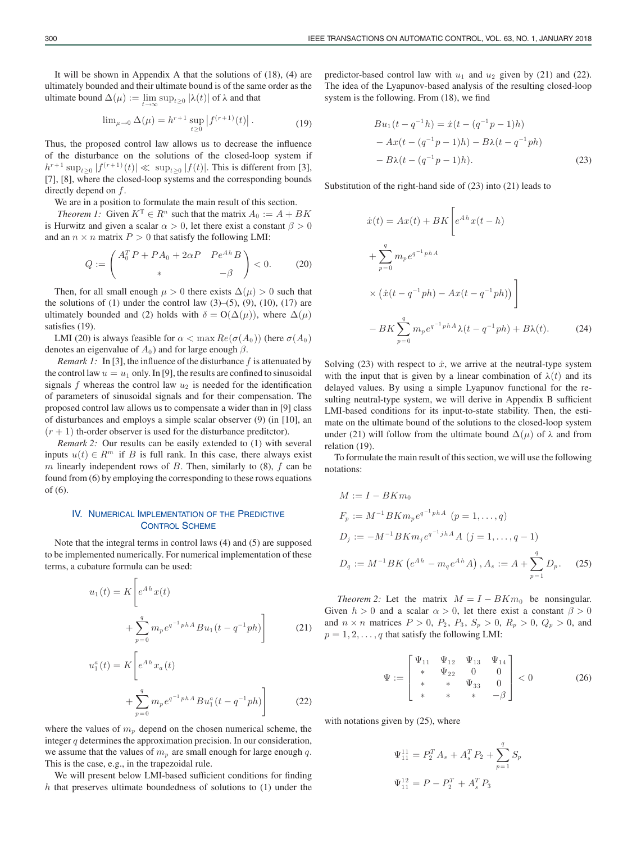It will be shown in Appendix A that the solutions of (18), (4) are ultimately bounded and their ultimate bound is of the same order as the ultimate bound  $\Delta(\mu) := \limsup_{t>0} |\lambda(t)|$  of  $\lambda$  and that

$$
\lim_{\mu \to 0} \Delta(\mu) = h^{r+1} \sup_{t \ge 0} |f^{(r+1)}(t)|.
$$
 (19)

Thus, the proposed control law allows us to decrease the influence of the disturbance on the solutions of the closed-loop system if  $h^{r+1} \sup_{t>0} |f^{(r+1)}(t)| \ll \sup_{t>0} |f(t)|$ . This is different from [3], [7], [8], where the closed-loop systems and the corresponding bounds directly depend on f.

We are in a position to formulate the main result of this section.

*Theorem 1:* Given  $K^T \in R^n$  such that the matrix  $A_0 := A + BK$ is Hurwitz and given a scalar  $\alpha > 0$ , let there exist a constant  $\beta > 0$ and an  $n \times n$  matrix  $P > 0$  that satisfy the following LMI:

$$
Q := \begin{pmatrix} A_0^T P + P A_0 + 2\alpha P & P e^{A h} B \\ * & -\beta \end{pmatrix} < 0.
$$
 (20)

Then, for all small enough  $\mu > 0$  there exists  $\Delta(\mu) > 0$  such that the solutions of  $(1)$  under the control law  $(3)$ – $(5)$ ,  $(9)$ ,  $(10)$ ,  $(17)$  are ultimately bounded and (2) holds with  $\delta = O(\Delta(\mu))$ , where  $\Delta(\mu)$ satisfies (19).

LMI (20) is always feasible for  $\alpha < \max Re(\sigma(A_0))$  (here  $\sigma(A_0)$ ) denotes an eigenvalue of  $A_0$ ) and for large enough  $\beta$ .

*Remark 1:* In [3], the influence of the disturbance  $f$  is attenuated by the control law  $u = u_1$  only. In [9], the results are confined to sinusoidal signals  $f$  whereas the control law  $u_2$  is needed for the identification of parameters of sinusoidal signals and for their compensation. The proposed control law allows us to compensate a wider than in [9] class of disturbances and employs a simple scalar observer (9) (in [10], an  $(r + 1)$  th-order observer is used for the disturbance preditctor).

*Remark 2:* Our results can be easily extended to (1) with several inputs  $u(t) \in R^m$  if B is full rank. In this case, there always exist m linearly independent rows of  $B$ . Then, similarly to (8),  $f$  can be found from (6) by employing the corresponding to these rows equations of (6).

# IV. NUMERICAL IMPLEMENTATION OF THE PREDICTIVE CONTROL SCHEME

Note that the integral terms in control laws (4) and (5) are supposed to be implemented numerically. For numerical implementation of these terms, a cubature formula can be used:

F.

$$
u_1(t) = K \left[ e^{Ah} x(t) + \sum_{p=0}^{q} m_p e^{q^{-1} phA} B u_1(t - q^{-1} ph) \right]
$$
 (21)

$$
u_1^a(t) = K \left[ e^{Ah} x_a(t) + \sum_{p=0}^q m_p e^{q^{-1} phA} B u_1^a(t - q^{-1} ph) \right]
$$
 (22)

where the values of  $m_p$  depend on the chosen numerical scheme, the integer  $q$  determines the approximation precision. In our consideration, we assume that the values of  $m_p$  are small enough for large enough q. This is the case, e.g., in the trapezoidal rule.

We will present below LMI-based sufficient conditions for finding  $h$  that preserves ultimate boundedness of solutions to  $(1)$  under the predictor-based control law with  $u_1$  and  $u_2$  given by (21) and (22). The idea of the Lyapunov-based analysis of the resulting closed-loop system is the following. From (18), we find

$$
Bu_1(t - q^{-1}h) = \dot{x}(t - (q^{-1}p - 1)h)
$$
  
- Ax(t - (q^{-1}p - 1)h) - B\lambda(t - q^{-1}ph)  
- B\lambda(t - (q^{-1}p - 1)h). (23)

Substitution of the right-hand side of (23) into (21) leads to

$$
\begin{aligned}\n\dot{x}(t) &= Ax(t) + BK \left[ e^{Ah} x(t-h) \right. \\
&\quad + \sum_{p=0}^{q} m_p e^{q^{-1} phA} \\
&\quad \times \left( \dot{x}(t - q^{-1} ph) - Ax(t - q^{-1} ph) \right) \right] \\
&\quad - BK \sum_{p=0}^{q} m_p e^{q^{-1} phA} \lambda(t - q^{-1} ph) + B\lambda(t).\n\end{aligned} \tag{24}
$$

Solving (23) with respect to  $\dot{x}$ , we arrive at the neutral-type system with the input that is given by a linear combination of  $\lambda(t)$  and its delayed values. By using a simple Lyapunov functional for the resulting neutral-type system, we will derive in Appendix B sufficient LMI-based conditions for its input-to-state stability. Then, the estimate on the ultimate bound of the solutions to the closed-loop system under (21) will follow from the ultimate bound  $\Delta(\mu)$  of  $\lambda$  and from relation (19).

To formulate the main result of this section, we will use the following notations:

$$
M := I - BKm_0
$$
  
\n
$$
F_p := M^{-1} B K m_p e^{q^{-1} phA} \quad (p = 1, ..., q)
$$
  
\n
$$
D_j := -M^{-1} B K m_j e^{q^{-1} j hA} A \quad (j = 1, ..., q - 1)
$$
  
\n
$$
D_q := M^{-1} B K \left( e^{Ah} - m_q e^{Ah} A \right), A_s := A + \sum_{p=1}^q D_p. \tag{25}
$$

*Theorem 2:* Let the matrix  $M = I - BKm_0$  be nonsingular. Given  $h > 0$  and a scalar  $\alpha > 0$ , let there exist a constant  $\beta > 0$ and  $n \times n$  matrices  $P > 0$ ,  $P_2$ ,  $P_3$ ,  $S_p > 0$ ,  $R_p > 0$ ,  $Q_p > 0$ , and  $p = 1, 2, \ldots, q$  that satisfy the following LMI:

$$
\Psi := \begin{bmatrix} \Psi_{11} & \Psi_{12} & \Psi_{13} & \Psi_{14} \\ * & \Psi_{22} & 0 & 0 \\ * & * & \Psi_{33} & 0 \\ * & * & * & -\beta \end{bmatrix} < 0
$$
 (26)

with notations given by  $(25)$ , where

$$
\Psi_{11}^{11} = P_2^T A_s + A_s^T P_2 + \sum_{p=1}^q S_p
$$
  

$$
\Psi_{11}^{12} = P - P_2^T + A_s^T P_3
$$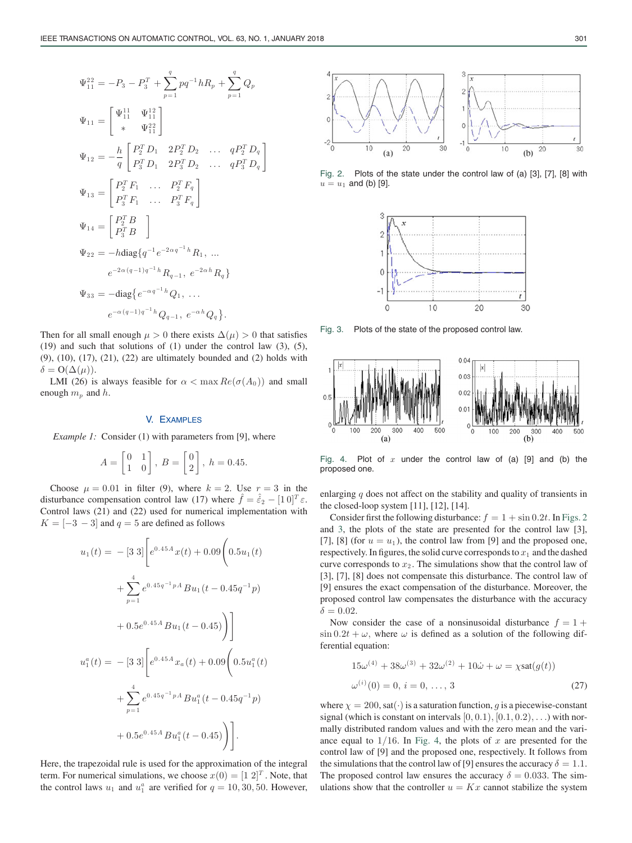$$
\Psi_{11}^{22} = -P_3 - P_3^T + \sum_{p=1}^q p q^{-1} h R_p + \sum_{p=1}^q Q_p
$$
  
\n
$$
\Psi_{11} = \begin{bmatrix} \Psi_{11}^{11} & \Psi_{11}^{12} \\ * & \Psi_{21}^{22} \end{bmatrix}
$$
  
\n
$$
\Psi_{12} = -\frac{h}{q} \begin{bmatrix} P_2^T D_1 & 2 P_2^T D_2 & \dots & q P_2^T D_q \\ P_3^T D_1 & 2 P_3^T D_2 & \dots & q P_3^T D_q \end{bmatrix}
$$
  
\n
$$
\Psi_{13} = \begin{bmatrix} P_2^T F_1 & \dots & P_2^T F_q \\ P_3^T F_1 & \dots & P_3^T F_q \end{bmatrix}
$$
  
\n
$$
\Psi_{14} = \begin{bmatrix} P_2^T B \\ P_3^T B \end{bmatrix}
$$
  
\n
$$
\Psi_{22} = -h \text{diag} \{ q^{-1} e^{-2\alpha q^{-1} h} R_1, \dots
$$
  
\n
$$
e^{-2\alpha (q-1) q^{-1} h} R_{q-1}, e^{-2\alpha h} R_q \}
$$
  
\n
$$
\Psi_{33} = -\text{diag} \{ e^{-\alpha q^{-1} h} Q_1, \dots
$$
  
\n
$$
e^{-\alpha (q-1) q^{-1} h} Q_{q-1}, e^{-\alpha h} Q_q \}.
$$

Then for all small enough  $\mu > 0$  there exists  $\Delta(\mu) > 0$  that satisfies (19) and such that solutions of (1) under the control law (3), (5), (9), (10), (17), (21), (22) are ultimately bounded and (2) holds with  $\delta = \mathcal{O}(\Delta(\mu)).$ 

LMI (26) is always feasible for  $\alpha < \max Re(\sigma(A_0))$  and small enough  $m_p$  and h.

## V. EXAMPLES

*Example 1:* Consider (1) with parameters from [9], where

$$
A = \begin{bmatrix} 0 & 1 \\ 1 & 0 \end{bmatrix}, B = \begin{bmatrix} 0 \\ 2 \end{bmatrix}, h = 0.45.
$$

Choose  $\mu = 0.01$  in filter (9), where  $k = 2$ . Use  $r = 3$  in the disturbance compensation control law (17) where  $\hat{f} = \hat{\dot{\epsilon}}_2 - [1 \ 0]^T \varepsilon$ . Control laws (21) and (22) used for numerical implementation with  $K = \begin{bmatrix} -3 & -3 \end{bmatrix}$  and  $q = 5$  are defined as follows

$$
u_1(t) = -[3 \ 3] \Bigg[ e^{0.45A} x(t) + 0.09 \Big( 0.5 u_1(t)
$$
  
+ 
$$
\sum_{p=1}^4 e^{0.45q^{-1} pA} B u_1(t - 0.45q^{-1} p)
$$
  
+ 
$$
0.5e^{0.45A} B u_1(t - 0.45) \Bigg) \Bigg]
$$
  

$$
u_1^a(t) = -[3 \ 3] \Bigg[ e^{0.45A} x_a(t) + 0.09 \Big( 0.5u_1^a(t)
$$
  
+ 
$$
\sum_{p=1}^4 e^{0.45q^{-1} pA} B u_1^a(t - 0.45q^{-1} p)
$$
  
+ 
$$
0.5e^{0.45A} B u_1^a(t - 0.45) \Bigg) \Bigg].
$$

Here, the trapezoidal rule is used for the approximation of the integral term. For numerical simulations, we choose  $x(0) = [1 \ 2]^T$ . Note, that the control laws  $u_1$  and  $u_1^a$  are verified for  $q = 10, 30, 50$ . However,



Fig. 2. Plots of the state under the control law of (a) [3], [7], [8] with  $u = u_1$  and (b) [9].



Fig. 3. Plots of the state of the proposed control law.



Fig. 4. Plot of  $x$  under the control law of (a) [9] and (b) the proposed one.

enlarging  $q$  does not affect on the stability and quality of transients in the closed-loop system  $[11]$ ,  $[12]$ ,  $[14]$ .

Consider first the following disturbance:  $f = 1 + \sin 0.2t$ . In Figs. 2 and 3, the plots of the state are presented for the control law [3], [7], [8] (for  $u = u_1$ ), the control law from [9] and the proposed one, respectively. In figures, the solid curve corresponds to  $x_1$  and the dashed curve corresponds to  $x_2$ . The simulations show that the control law of [3], [7], [8] does not compensate this disturbance. The control law of [9] ensures the exact compensation of the disturbance. Moreover, the proposed control law compensates the disturbance with the accuracy  $\delta = 0.02$ .

Now consider the case of a nonsinusoidal disturbance  $f = 1 +$  $\sin 0.2t + \omega$ , where  $\omega$  is defined as a solution of the following differential equation:

$$
15\omega^{(4)} + 38\omega^{(3)} + 32\omega^{(2)} + 10\dot{\omega} + \omega = \chi \text{sat}(g(t))
$$
  

$$
\omega^{(i)}(0) = 0, \ i = 0, \dots, 3
$$
 (27)

where  $\chi = 200$ , sat( $\cdot$ ) is a saturation function, g is a piecewise-constant signal (which is constant on intervals  $[0, 0.1), [0.1, 0.2), \ldots$ ) with normally distributed random values and with the zero mean and the variance equal to  $1/16$ . In Fig. 4, the plots of x are presented for the control law of [9] and the proposed one, respectively. It follows from the simulations that the control law of [9] ensures the accuracy  $\delta = 1.1$ . The proposed control law ensures the accuracy  $\delta = 0.033$ . The simulations show that the controller  $u = Kx$  cannot stabilize the system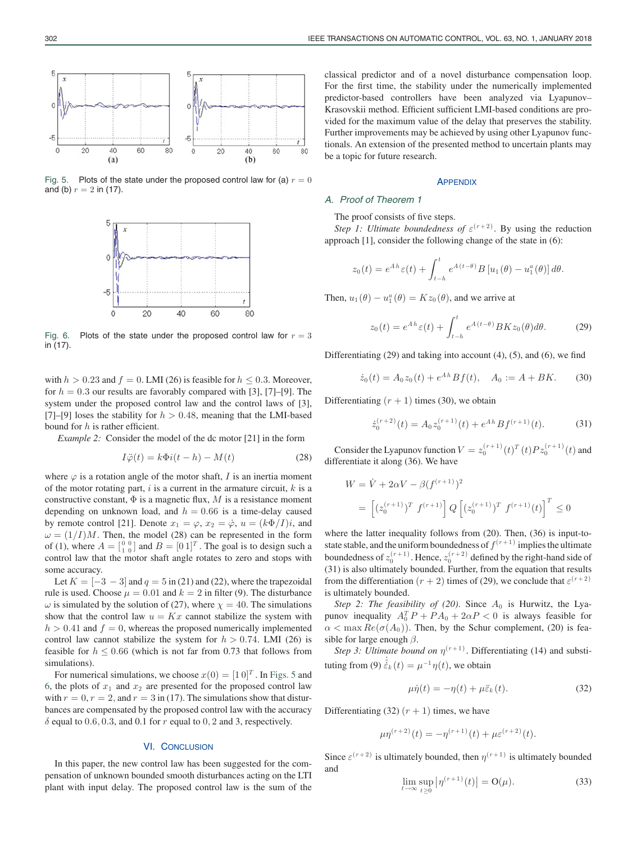

Fig. 5. Plots of the state under the proposed control law for (a)  $r = 0$ and (b)  $r = 2$  in (17).



Fig. 6. Plots of the state under the proposed control law for  $r = 3$ in (17).

with  $h > 0.23$  and  $f = 0$ . LMI (26) is feasible for  $h \le 0.3$ . Moreover, for  $h = 0.3$  our results are favorably compared with [3], [7]–[9]. The system under the proposed control law and the control laws of [3], [7]–[9] loses the stability for  $h > 0.48$ , meaning that the LMI-based bound for  $h$  is rather efficient.

*Example 2:* Consider the model of the dc motor [21] in the form

$$
I\ddot{\varphi}(t) = k\Phi i(t - h) - M(t)
$$
\n(28)

where  $\varphi$  is a rotation angle of the motor shaft, I is an inertia moment of the motor rotating part,  $i$  is a current in the armature circuit,  $k$  is a constructive constant,  $\Phi$  is a magnetic flux, M is a resistance moment depending on unknown load, and  $h = 0.66$  is a time-delay caused by remote control [21]. Denote  $x_1 = \varphi$ ,  $x_2 = \dot{\varphi}$ ,  $u = (k\Phi/I)i$ , and  $\omega = (1/I)M$ . Then, the model (28) can be represented in the form of (1), where  $A = \begin{bmatrix} 0 & 0 \\ 1 & 0 \end{bmatrix}$  and  $B = \begin{bmatrix} 0 & 1 \end{bmatrix}^T$ . The goal is to design such a control law that the motor shaft angle rotates to zero and stops with some accuracy.

Let  $K = \begin{bmatrix} -3 & -3 \end{bmatrix}$  and  $q = 5$  in (21) and (22), where the trapezoidal rule is used. Choose  $\mu = 0.01$  and  $k = 2$  in filter (9). The disturbance  $\omega$  is simulated by the solution of (27), where  $\chi = 40$ . The simulations show that the control law  $u = Kx$  cannot stabilize the system with  $h > 0.41$  and  $f = 0$ , whereas the proposed numerically implemented control law cannot stabilize the system for  $h > 0.74$ . LMI (26) is feasible for  $h \leq 0.66$  (which is not far from 0.73 that follows from simulations).

For numerical simulations, we choose  $x(0) = [1 \ 0]^T$ . In Figs. 5 and 6, the plots of  $x_1$  and  $x_2$  are presented for the proposed control law with  $r = 0$ ,  $r = 2$ , and  $r = 3$  in (17). The simulations show that disturbances are compensated by the proposed control law with the accuracy  $\delta$  equal to 0.6, 0.3, and 0.1 for r equal to 0, 2 and 3, respectively.

## VI. CONCLUSION

In this paper, the new control law has been suggested for the compensation of unknown bounded smooth disturbances acting on the LTI plant with input delay. The proposed control law is the sum of the classical predictor and of a novel disturbance compensation loop. For the first time, the stability under the numerically implemented predictor-based controllers have been analyzed via Lyapunov– Krasovskii method. Efficient sufficient LMI-based conditions are provided for the maximum value of the delay that preserves the stability. Further improvements may be achieved by using other Lyapunov functionals. An extension of the presented method to uncertain plants may be a topic for future research.

#### **APPENDIX**

## *A. Proof of Theorem 1*

The proof consists of five steps.

*Step 1: Ultimate boundedness of*  $\varepsilon^{(r+2)}$ . By using the reduction approach [1], consider the following change of the state in (6):

$$
z_0(t) = e^{Ah} \varepsilon(t) + \int_{t-h}^t e^{A(t-\theta)} B[u_1(\theta) - u_1^a(\theta)] d\theta.
$$

Then,  $u_1(\theta) - u_1^a(\theta) = Kz_0(\theta)$ , and we arrive at

$$
z_0(t) = e^{Ah} \varepsilon(t) + \int_{t-h}^t e^{A(t-\theta)} BK z_0(\theta) d\theta.
$$
 (29)

Differentiating (29) and taking into account (4), (5), and (6), we find

$$
\dot{z}_0(t) = A_0 z_0(t) + e^{Ah} B f(t), \quad A_0 := A + BK. \tag{30}
$$

Differentiating  $(r + 1)$  times (30), we obtain

$$
\dot{z}_0^{(r+2)}(t) = A_0 z_0^{(r+1)}(t) + e^{Ah} B f^{(r+1)}(t). \tag{31}
$$

Consider the Lyapunov function  $V = z_0^{(r+1)}(t)^T(t)Pz_0^{(r+1)}(t)$  and differentiate it along (36). We have

$$
W = \dot{V} + 2\alpha V - \beta (f^{(r+1)})^2
$$
  
= 
$$
\left[ (z_0^{(r+1)})^T f^{(r+1)} \right] Q \left[ (z_0^{(r+1)})^T f^{(r+1)}(t) \right]^T \le 0
$$

where the latter inequality follows from (20). Then, (36) is input-tostate stable, and the uniform boundedness of  $f^{(r+1)}$  implies the ultimate boundedness of  $z_0^{(r+1)}$ . Hence,  $z_0^{(r+2)}$  defined by the right-hand side of (31) is also ultimately bounded. Further, from the equation that results from the differentiation  $(r + 2)$  times of (29), we conclude that  $\varepsilon^{(r+2)}$ is ultimately bounded.

*Step 2: The feasibility of (20)*. Since  $A_0$  is Hurwitz, the Lyapunov inequality  $A_0^T P + P A_0 + 2\alpha P < 0$  is always feasible for  $\alpha < \max Re(\sigma(A_0))$ . Then, by the Schur complement, (20) is feasible for large enough  $\beta$ .

*Step 3: Ultimate bound on*  $\eta^{(r+1)}$ . Differentiating (14) and substituting from (9)  $\dot{\hat{\varepsilon}}_k(t) = \mu^{-1} \eta(t)$ , we obtain

$$
\mu \dot{\eta}(t) = -\eta(t) + \mu \ddot{\varepsilon}_k(t). \tag{32}
$$

Differentiating (32)  $(r + 1)$  times, we have

$$
\mu \eta^{(r+2)}(t) = -\eta^{(r+1)}(t) + \mu \varepsilon^{(r+2)}(t).
$$

Since  $\varepsilon^{(r+2)}$  is ultimately bounded, then  $\eta^{(r+1)}$  is ultimately bounded and

$$
\lim_{t \to \infty} \sup_{t \ge 0} |\eta^{(r+1)}(t)| = O(\mu).
$$
 (33)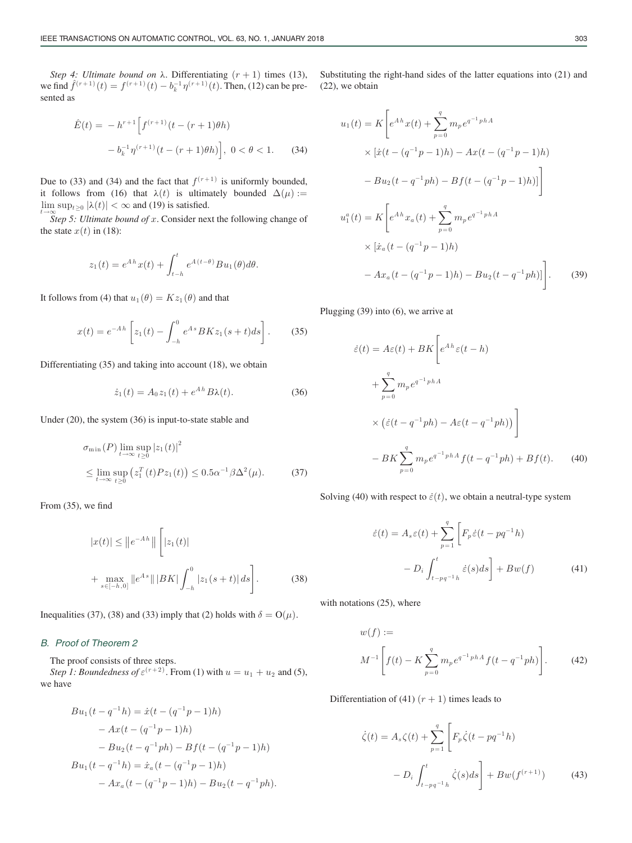*Step 4: Ultimate bound on*  $\lambda$ . Differentiating  $(r + 1)$  times (13), we find  $\hat{f}^{(r+1)}(t) = f^{(r+1)}(t) - b_k^{-1} \eta^{(r+1)}(t)$ . Then, (12) can be presented as

$$
\hat{E}(t) = -h^{r+1} \left[ f^{(r+1)}(t - (r+1)\theta h) - b_k^{-1} \eta^{(r+1)}(t - (r+1)\theta h) \right], \ 0 < \theta < 1. \tag{34}
$$

Due to (33) and (34) and the fact that  $f^{(r+1)}$  is uniformly bounded, it follows from (16) that  $\lambda(t)$  is ultimately bounded  $\Delta(\mu)$  :=  $\lim_{t\to\infty} \sup_{t\geq 0} |\lambda(t)| < \infty$  and (19) is satisfied.

*Step 5: Ultimate bound of* x. Consider next the following change of the state  $x(t)$  in (18):

$$
z_1(t) = e^{Ah} x(t) + \int_{t-h}^t e^{A(t-\theta)} B u_1(\theta) d\theta.
$$

It follows from (4) that  $u_1(\theta) = Kz_1(\theta)$  and that

$$
x(t) = e^{-Ah} \left[ z_1(t) - \int_{-h}^0 e^{As} BK z_1(s+t) ds \right].
$$
 (35)

Differentiating (35) and taking into account (18), we obtain

$$
\dot{z}_1(t) = A_0 z_1(t) + e^{Ah} B\lambda(t).
$$
 (36)

Under (20), the system (36) is input-to-state stable and

$$
\sigma_{\min}(P) \lim_{t \to \infty} \sup_{t \ge 0} |z_1(t)|^2
$$
  
\n
$$
\leq \lim_{t \to \infty} \sup_{t \ge 0} (z_1^T(t)Pz_1(t)) \le 0.5\alpha^{-1}\beta\Delta^2(\mu).
$$
 (37)

From (35), we find

$$
|x(t)| \le ||e^{-Ah}|| \left[ |z_1(t)| \right]
$$
  
+ 
$$
\max_{s \in [-h,0]} ||e^{As}|| |BK| \int_{-h}^{0} |z_1(s+t)| ds \right].
$$
 (38)

Inequalities (37), (38) and (33) imply that (2) holds with  $\delta = O(\mu)$ .

## *B. Proof of Theorem 2*

The proof consists of three steps.

*Step 1: Boundedness of*  $\varepsilon^{(r+2)}$ . From (1) with  $u = u_1 + u_2$  and (5), we have

$$
Bu_1(t - q^{-1}h) = \dot{x}(t - (q^{-1}p - 1)h)
$$
  
-  $Ax(t - (q^{-1}p - 1)h)$   
-  $Bu_2(t - q^{-1}ph) - Bf(t - (q^{-1}p - 1)h)$   
 $Bu_1(t - q^{-1}h) = \dot{x}_a(t - (q^{-1}p - 1)h)$   
-  $Ax_a(t - (q^{-1}p - 1)h) - Bu_2(t - q^{-1}ph).$ 

Substituting the right-hand sides of the latter equations into (21) and (22), we obtain

$$
u_1(t) = K \left[ e^{Ah} x(t) + \sum_{p=0}^{q} m_p e^{q^{-1} phA} \times \left[ \dot{x}(t - (q^{-1}p - 1)h) - Ax(t - (q^{-1}p - 1)h) \right] \right]
$$
  

$$
- Bu_2(t - q^{-1}ph) - Bf(t - (q^{-1}p - 1)h) \Big]
$$
  

$$
u_1^a(t) = K \left[ e^{Ah} x_a(t) + \sum_{p=0}^{q} m_p e^{q^{-1} phA} \times \left[ \dot{x}_a(t - (q^{-1}p - 1)h) \right] \right]
$$
  

$$
- Ax_a(t - (q^{-1}p - 1)h) - Bu_2(t - q^{-1}ph) \Big].
$$
 (39)

Plugging (39) into (6), we arrive at

$$
\begin{aligned}\n\dot{\varepsilon}(t) &= A\varepsilon(t) + BK \left[ e^{Ah}\varepsilon(t-h) \right. \\
&\quad + \sum_{p=0}^{q} m_{p} e^{q^{-1}ph} \\
&\quad \times \left( \dot{\varepsilon}(t - q^{-1}ph) - A\varepsilon(t - q^{-1}ph) \right) \right] \\
&\quad - BK \sum_{p=0}^{q} m_{p} e^{q^{-1}ph} f(t - q^{-1}ph) + Bf(t).\n\end{aligned} \tag{40}
$$

Solving (40) with respect to  $\dot{\varepsilon}(t)$ , we obtain a neutral-type system

$$
\dot{\varepsilon}(t) = A_s \varepsilon(t) + \sum_{p=1}^{q} \left[ F_p \dot{\varepsilon}(t - pq^{-1}h) - D_i \int_{t - pq^{-1}h}^{t} \dot{\varepsilon}(s) ds \right] + Bw(f) \tag{41}
$$

with notations (25), where

$$
w(f) :=
$$
  
\n
$$
M^{-1} \left[ f(t) - K \sum_{p=0}^{q} m_p e^{q^{-1} phA} f(t - q^{-1} ph) \right].
$$
 (42)

Differentiation of (41)  $(r + 1)$  times leads to

$$
\dot{\zeta}(t) = A_s \zeta(t) + \sum_{p=1}^{q} \left[ F_p \dot{\zeta}(t - pq^{-1}h) - D_i \int_{t - pq^{-1}h}^{t} \dot{\zeta}(s) ds \right] + Bw(f^{(r+1)}) \tag{43}
$$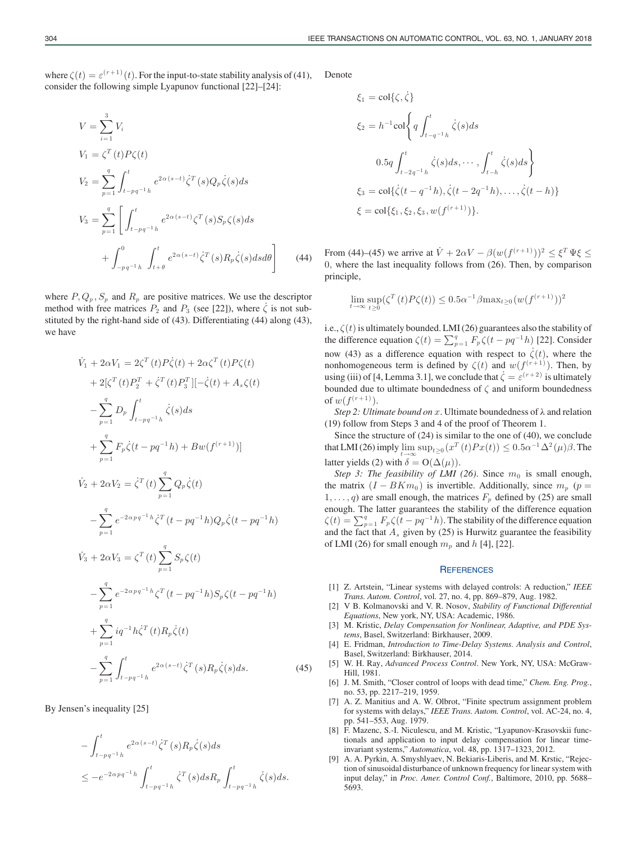where  $\zeta(t) = \varepsilon^{(r+1)}(t)$ . For the input-to-state stability analysis of (41), consider the following simple Lyapunov functional [22]–[24]:

$$
V = \sum_{i=1}^{3} V_i
$$
  
\n
$$
V_1 = \zeta^T(t) P \zeta(t)
$$
  
\n
$$
V_2 = \sum_{p=1}^{q} \int_{t-pq^{-1}h}^{t} e^{2\alpha(s-t)} \dot{\zeta}^T(s) Q_p \dot{\zeta}(s) ds
$$
  
\n
$$
V_3 = \sum_{p=1}^{q} \left[ \int_{t-pq^{-1}h}^{t} e^{2\alpha(s-t)} \zeta^T(s) S_p \zeta(s) ds + \int_{-pq^{-1}h}^{0} \int_{t+\theta}^{t} e^{2\alpha(s-t)} \dot{\zeta}^T(s) R_p \dot{\zeta}(s) ds d\theta \right]
$$
(44)

where  $P, Q_p, S_p$  and  $R_p$  are positive matrices. We use the descriptor method with free matrices  $P_2$  and  $P_3$  (see [22]), where  $\dot{\zeta}$  is not substituted by the right-hand side of (43). Differentiating (44) along (43), we have

$$
\dot{V}_{1} + 2\alpha V_{1} = 2\zeta^{T}(t)P\dot{\zeta}(t) + 2\alpha\zeta^{T}(t)P\zeta(t) \n+ 2[\zeta^{T}(t)P_{2}^{T} + \dot{\zeta}^{T}(t)P_{3}^{T}][-\dot{\zeta}(t) + A_{s}\zeta(t) \n- \sum_{p=1}^{q} D_{p} \int_{t-pq^{-1}h}^{t} \dot{\zeta}(s)ds \n+ \sum_{p=1}^{q} F_{p}\dot{\zeta}(t-pq^{-1}h) + Bw(f^{(r+1)})]
$$
\n
$$
\dot{V}_{2} + 2\alpha V_{2} = \dot{\zeta}^{T}(t) \sum_{p=1}^{q} Q_{p}\dot{\zeta}(t) \n- \sum_{p=1}^{q} e^{-2\alpha pq^{-1}h} \dot{\zeta}^{T}(t-pq^{-1}h)Q_{p}\dot{\zeta}(t-pq^{-1}h) \n\dot{V}_{3} + 2\alpha V_{3} = \zeta^{T}(t) \sum_{p=1}^{q} S_{p}\zeta(t) \n- \sum_{p=1}^{q} e^{-2\alpha pq^{-1}h} \zeta^{T}(t-pq^{-1}h)S_{p}\zeta(t-pq^{-1}h) \n+ \sum_{p=1}^{q} iq^{-1}h\dot{\zeta}^{T}(t)R_{p}\dot{\zeta}(t) \n- \sum_{p=1}^{q} \int_{t-pq^{-1}h}^{t} e^{2\alpha(s-t)} \dot{\zeta}^{T}(s)R_{p}\dot{\zeta}(s)ds.
$$
\n(45)

By Jensen's inequality [25]

$$
-\int_{t-pq^{-1}h}^{t} e^{2\alpha(s-t)} \dot{\zeta}^{T}(s) R_{p} \dot{\zeta}(s) ds
$$
  

$$
\leq -e^{-2\alpha pq^{-1}h} \int_{t-pq^{-1}h}^{t} \dot{\zeta}^{T}(s) ds R_{p} \int_{t-pq^{-1}h}^{t} \dot{\zeta}(s) ds.
$$

Denote

$$
\xi_1 = \text{col}\{\zeta, \dot{\zeta}\}\
$$
  
\n
$$
\xi_2 = h^{-1} \text{col}\left\{ q \int_{t-q^{-1}h}^t \dot{\zeta}(s) ds \right\}
$$
  
\n
$$
0.5q \int_{t-2q^{-1}h}^t \dot{\zeta}(s) ds, \cdots, \int_{t-h}^t \dot{\zeta}(s) ds \right\}
$$
  
\n
$$
\xi_3 = \text{col}\{\dot{\zeta}(t-q^{-1}h), \dot{\zeta}(t-2q^{-1}h), \dots, \dot{\zeta}(t-h)\}
$$
  
\n
$$
\xi = \text{col}\{\xi_1, \xi_2, \xi_3, w(f^{(r+1)})\}.
$$

From (44)–(45) we arrive at  $\dot{V} + 2\alpha V - \beta(w(f^{(r+1)}))^2 < \xi^T \Psi \xi <$ 0, where the last inequality follows from (26). Then, by comparison principle,

$$
\lim_{t \to \infty} \sup_{t \ge 0} (\zeta^T(t) P \zeta(t)) \le 0.5 \alpha^{-1} \beta \max_{t \ge 0} (w(f^{(r+1)}))^2
$$

i.e.,  $\zeta(t)$  is ultimately bounded. LMI (26) guarantees also the stability of the difference equation  $\zeta(t) = \sum_{p=1}^{q} F_p \zeta(t - pq^{-1}h)$  [22]. Consider now (43) as a difference equation with respect to  $\dot{\zeta}(t)$ , where the nonhomogeneous term is defined by  $\zeta(t)$  and  $w(f^{(r+1)})$ . Then, by using (iii) of [4, Lemma 3.1], we conclude that  $\dot{\zeta} = \varepsilon^{(r+2)}$  is ultimately bounded due to ultimate boundedness of  $\zeta$  and uniform boundedness of  $w(f^{(r+1)})$ .

*Step 2: Ultimate bound on* x. Ultimate boundedness of λ and relation (19) follow from Steps 3 and 4 of the proof of Theorem 1.

Since the structure of (24) is similar to the one of (40), we conclude that LMI (26) imply  $\lim_{t\to\infty} \sup_{t\geq 0} (x^T(t)Px(t)) \leq 0.5\alpha^{-1}\Delta^2(\mu)\beta$ . The latter yields (2) with  $\delta = O(\Delta(\mu)).$ 

*Step 3: The feasibility of LMI (26).* Since  $m_0$  is small enough, the matrix  $(I - BKm_0)$  is invertible. Additionally, since  $m_p$  ( $p =$  $1, \ldots, q$ ) are small enough, the matrices  $F_p$  defined by (25) are small enough. The latter guarantees the stability of the difference equation  $\zeta(t) = \sum_{p=1}^{q} F_p \zeta(t - pq^{-1}h)$ . The stability of the difference equation and the fact that  $A_s$  given by (25) is Hurwitz guarantee the feasibility of LMI (26) for small enough  $m_p$  and h [4], [22].

#### **REFERENCES**

- [1] Z. Artstein, "Linear systems with delayed controls: A reduction," *IEEE Trans. Autom. Control*, vol. 27, no. 4, pp. 869–879, Aug. 1982.
- [2] V B. Kolmanovski and V. R. Nosov, *Stability of Functional Differential Equations*, New york, NY, USA: Academic, 1986.
- [3] M. Kristic, *Delay Compensation for Nonlinear, Adaptive, and PDE Systems*, Basel, Switzerland: Birkhauser, 2009.
- [4] E. Fridman, *Introduction to Time-Delay Systems. Analysis and Control*, Basel, Switzerland: Birkhauser, 2014.
- [5] W. H. Ray, *Advanced Process Control*. New York, NY, USA: McGraw-Hill, 1981.
- [6] J. M. Smith, "Closer control of loops with dead time," *Chem. Eng. Prog.*, no. 53, pp. 2217–219, 1959.
- [7] A. Z. Manitius and A. W. Olbrot, "Finite spectrum assignment problem for systems with delays," *IEEE Trans. Autom. Control*, vol. AC-24, no. 4, pp. 541–553, Aug. 1979.
- [8] F. Mazenc, S.-I. Niculescu, and M. Kristic, "Lyapunov-Krasovskii functionals and application to input delay compensation for linear timeinvariant systems," *Automatica*, vol. 48, pp. 1317–1323, 2012.
- [9] A. A. Pyrkin, A. Smyshlyaev, N. Bekiaris-Liberis, and M. Krstic, "Rejection of sinusoidal disturbance of unknown frequency for linear system with input delay," in *Proc. Amer. Control Conf.*, Baltimore, 2010, pp. 5688– 5693.